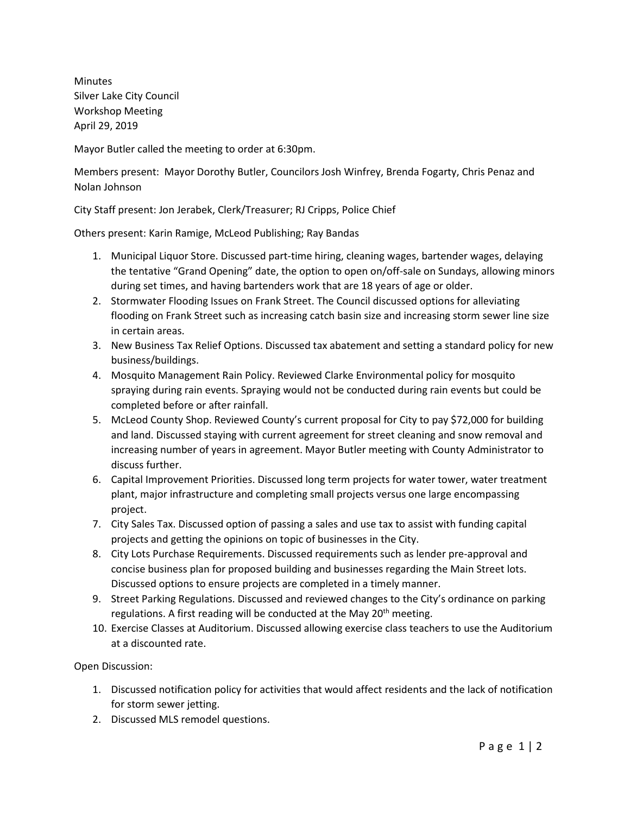**Minutes** Silver Lake City Council Workshop Meeting April 29, 2019

Mayor Butler called the meeting to order at 6:30pm.

Members present: Mayor Dorothy Butler, Councilors Josh Winfrey, Brenda Fogarty, Chris Penaz and Nolan Johnson

City Staff present: Jon Jerabek, Clerk/Treasurer; RJ Cripps, Police Chief

Others present: Karin Ramige, McLeod Publishing; Ray Bandas

- 1. Municipal Liquor Store. Discussed part-time hiring, cleaning wages, bartender wages, delaying the tentative "Grand Opening" date, the option to open on/off-sale on Sundays, allowing minors during set times, and having bartenders work that are 18 years of age or older.
- 2. Stormwater Flooding Issues on Frank Street. The Council discussed options for alleviating flooding on Frank Street such as increasing catch basin size and increasing storm sewer line size in certain areas.
- 3. New Business Tax Relief Options. Discussed tax abatement and setting a standard policy for new business/buildings.
- 4. Mosquito Management Rain Policy. Reviewed Clarke Environmental policy for mosquito spraying during rain events. Spraying would not be conducted during rain events but could be completed before or after rainfall.
- 5. McLeod County Shop. Reviewed County's current proposal for City to pay \$72,000 for building and land. Discussed staying with current agreement for street cleaning and snow removal and increasing number of years in agreement. Mayor Butler meeting with County Administrator to discuss further.
- 6. Capital Improvement Priorities. Discussed long term projects for water tower, water treatment plant, major infrastructure and completing small projects versus one large encompassing project.
- 7. City Sales Tax. Discussed option of passing a sales and use tax to assist with funding capital projects and getting the opinions on topic of businesses in the City.
- 8. City Lots Purchase Requirements. Discussed requirements such as lender pre-approval and concise business plan for proposed building and businesses regarding the Main Street lots. Discussed options to ensure projects are completed in a timely manner.
- 9. Street Parking Regulations. Discussed and reviewed changes to the City's ordinance on parking regulations. A first reading will be conducted at the May 20<sup>th</sup> meeting.
- 10. Exercise Classes at Auditorium. Discussed allowing exercise class teachers to use the Auditorium at a discounted rate.

Open Discussion:

- 1. Discussed notification policy for activities that would affect residents and the lack of notification for storm sewer jetting.
- 2. Discussed MLS remodel questions.